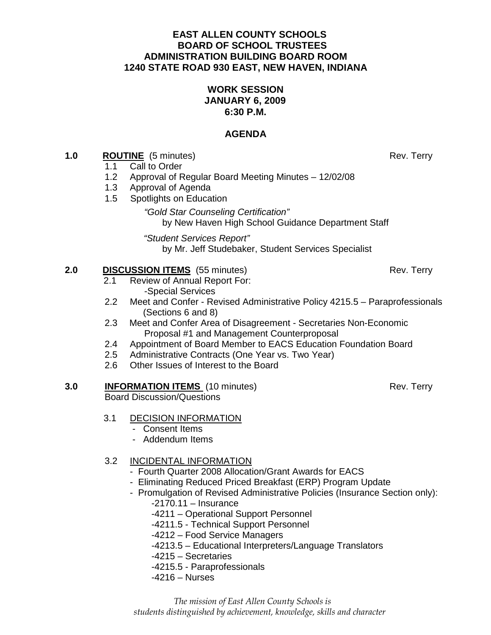#### **EAST ALLEN COUNTY SCHOOLS BOARD OF SCHOOL TRUSTEES ADMINISTRATION BUILDING BOARD ROOM 1240 STATE ROAD 930 EAST, NEW HAVEN, INDIANA**

### **WORK SESSION JANUARY 6, 2009 6:30 P.M.**

### **AGENDA**

#### **1.0 ROUTINE** (5 minutes) Rev. Terry

- 1.1Call to Order
- 1.2 Approval of Regular Board Meeting Minutes 12/02/08
- 1.3 Approval of Agenda
- 1.5 Spotlights on Education

### "Gold Star Counseling Certification"

by New Haven High School Guidance Department Staff

"Student Services Report"by Mr. Jeff Studebaker, Student Services Specialist

#### **2.0 DISCUSSION ITEMS** (55 minutes) Rev. Terry

- 2.1 Review of Annual Report For: -Special Services
- 2.2 Meet and Confer Revised Administrative Policy 4215.5 Paraprofessionals (Sections 6 and 8)
- 2.3 Meet and Confer Area of Disagreement Secretaries Non-Economic Proposal #1 and Management Counterproposal
- 2.4 Appointment of Board Member to EACS Education Foundation Board
- 2.5 Administrative Contracts (One Year vs. Two Year)
- 2.6 Other Issues of Interest to the Board

#### **3.0 INFORMATION ITEMS** (10 minutes) **Rev. Terry** Rev. Terry

Board Discussion/Questions

### 3.1 DECISION INFORMATION

- Consent Items
- Addendum Items

### 3.2 INCIDENTAL INFORMATION

- Fourth Quarter 2008 Allocation/Grant Awards for EACS
- Eliminating Reduced Priced Breakfast (ERP) Program Update
- Promulgation of Revised Administrative Policies (Insurance Section only):
	- -2170.11 Insurance
	- -4211 Operational Support Personnel
	- -4211.5 Technical Support Personnel
	- -4212 Food Service Managers
	- -4213.5 Educational Interpreters/Language Translators
	- -4215 Secretaries
	- -4215.5 Paraprofessionals
	- -4216 Nurses